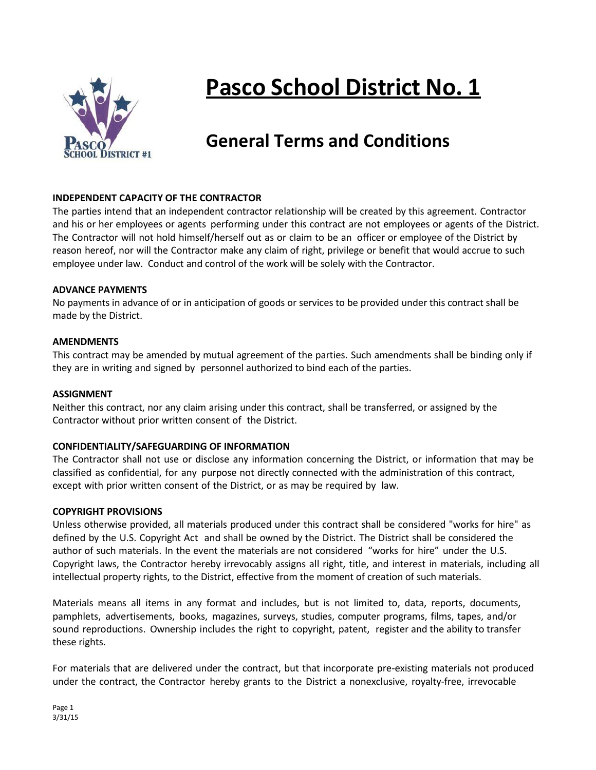

# **Pasco School District No. 1**

# **General Terms and Conditions**

#### **INDEPENDENT CAPACITY OF THE CONTRACTOR**

The parties intend that an independent contractor relationship will be created by this agreement. Contractor and his or her employees or agents performing under this contract are not employees or agents of the District. The Contractor will not hold himself/herself out as or claim to be an officer or employee of the District by reason hereof, nor will the Contractor make any claim of right, privilege or benefit that would accrue to such employee under law. Conduct and control of the work will be solely with the Contractor.

#### **ADVANCE PAYMENTS**

No payments in advance of or in anticipation of goods or services to be provided under this contract shall be made by the District.

#### **AMENDMENTS**

This contract may be amended by mutual agreement of the parties. Such amendments shall be binding only if they are in writing and signed by personnel authorized to bind each of the parties.

#### **ASSIGNMENT**

Neither this contract, nor any claim arising under this contract, shall be transferred, or assigned by the Contractor without prior written consent of the District.

#### **CONFIDENTIALITY/SAFEGUARDING OF INFORMATION**

The Contractor shall not use or disclose any information concerning the District, or information that may be classified as confidential, for any purpose not directly connected with the administration of this contract, except with prior written consent of the District, or as may be required by law.

#### **COPYRIGHT PROVISIONS**

Unless otherwise provided, all materials produced under this contract shall be considered "works for hire" as defined by the U.S. Copyright Act and shall be owned by the District. The District shall be considered the author of such materials. In the event the materials are not considered "works for hire" under the U.S. Copyright laws, the Contractor hereby irrevocably assigns all right, title, and interest in materials, including all intellectual property rights, to the District, effective from the moment of creation of such materials.

Materials means all items in any format and includes, but is not limited to, data, reports, documents, pamphlets, advertisements, books, magazines, surveys, studies, computer programs, films, tapes, and/or sound reproductions. Ownership includes the right to copyright, patent, register and the ability to transfer these rights.

For materials that are delivered under the contract, but that incorporate pre-existing materials not produced under the contract, the Contractor hereby grants to the District a nonexclusive, royalty-free, irrevocable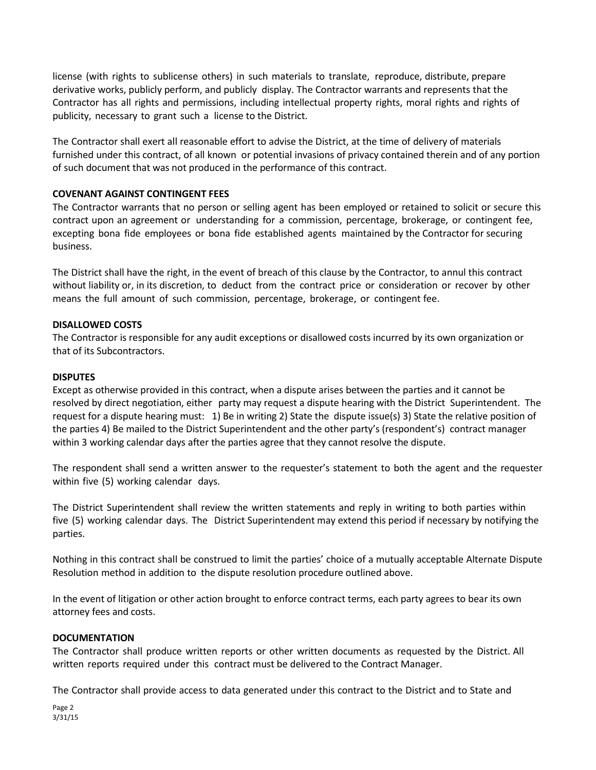license (with rights to sublicense others) in such materials to translate, reproduce, distribute, prepare derivative works, publicly perform, and publicly display. The Contractor warrants and represents that the Contractor has all rights and permissions, including intellectual property rights, moral rights and rights of publicity, necessary to grant such a license to the District.

The Contractor shall exert all reasonable effort to advise the District, at the time of delivery of materials furnished under this contract, of all known or potential invasions of privacy contained therein and of any portion of such document that was not produced in the performance of this contract.

#### **COVENANT AGAINST CONTINGENT FEES**

The Contractor warrants that no person or selling agent has been employed or retained to solicit or secure this contract upon an agreement or understanding for a commission, percentage, brokerage, or contingent fee, excepting bona fide employees or bona fide established agents maintained by the Contractor for securing business.

The District shall have the right, in the event of breach of this clause by the Contractor, to annul this contract without liability or, in its discretion, to deduct from the contract price or consideration or recover by other means the full amount of such commission, percentage, brokerage, or contingent fee.

#### **DISALLOWED COSTS**

The Contractor is responsible for any audit exceptions or disallowed costs incurred by its own organization or that of its Subcontractors.

#### **DISPUTES**

Except as otherwise provided in this contract, when a dispute arises between the parties and it cannot be resolved by direct negotiation, either party may request a dispute hearing with the District Superintendent. The request for a dispute hearing must: 1) Be in writing 2) State the dispute issue(s) 3) State the relative position of the parties 4) Be mailed to the District Superintendent and the other party's (respondent's) contract manager within 3 working calendar days after the parties agree that they cannot resolve the dispute.

The respondent shall send a written answer to the requester's statement to both the agent and the requester within five (5) working calendar days.

The District Superintendent shall review the written statements and reply in writing to both parties within five (5) working calendar days. The District Superintendent may extend this period if necessary by notifying the parties.

Nothing in this contract shall be construed to limit the parties' choice of a mutually acceptable Alternate Dispute Resolution method in addition to the dispute resolution procedure outlined above.

In the event of litigation or other action brought to enforce contract terms, each party agrees to bear its own attorney fees and costs.

#### **DOCUMENTATION**

The Contractor shall produce written reports or other written documents as requested by the District. All written reports required under this contract must be delivered to the Contract Manager.

The Contractor shall provide access to data generated under this contract to the District and to State and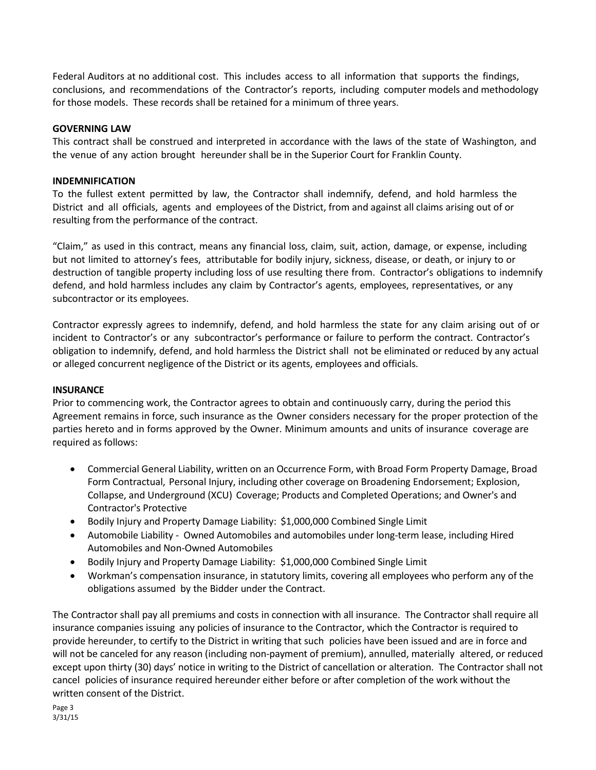Federal Auditors at no additional cost. This includes access to all information that supports the findings, conclusions, and recommendations of the Contractor's reports, including computer models and methodology for those models. These records shall be retained for a minimum of three years.

#### **GOVERNING LAW**

This contract shall be construed and interpreted in accordance with the laws of the state of Washington, and the venue of any action brought hereunder shall be in the Superior Court for Franklin County.

#### **INDEMNIFICATION**

To the fullest extent permitted by law, the Contractor shall indemnify, defend, and hold harmless the District and all officials, agents and employees of the District, from and against all claims arising out of or resulting from the performance of the contract.

"Claim," as used in this contract, means any financial loss, claim, suit, action, damage, or expense, including but not limited to attorney's fees, attributable for bodily injury, sickness, disease, or death, or injury to or destruction of tangible property including loss of use resulting there from. Contractor's obligations to indemnify defend, and hold harmless includes any claim by Contractor's agents, employees, representatives, or any subcontractor or its employees.

Contractor expressly agrees to indemnify, defend, and hold harmless the state for any claim arising out of or incident to Contractor's or any subcontractor's performance or failure to perform the contract. Contractor's obligation to indemnify, defend, and hold harmless the District shall not be eliminated or reduced by any actual or alleged concurrent negligence of the District or its agents, employees and officials.

#### **INSURANCE**

Prior to commencing work, the Contractor agrees to obtain and continuously carry, during the period this Agreement remains in force, such insurance as the Owner considers necessary for the proper protection of the parties hereto and in forms approved by the Owner. Minimum amounts and units of insurance coverage are required as follows:

- Commercial General Liability, written on an Occurrence Form, with Broad Form Property Damage, Broad Form Contractual, Personal Injury, including other coverage on Broadening Endorsement; Explosion, Collapse, and Underground (XCU) Coverage; Products and Completed Operations; and Owner's and Contractor's Protective
- Bodily Injury and Property Damage Liability: \$1,000,000 Combined Single Limit
- Automobile Liability Owned Automobiles and automobiles under long-term lease, including Hired Automobiles and Non-Owned Automobiles
- Bodily Injury and Property Damage Liability: \$1,000,000 Combined Single Limit
- Workman's compensation insurance, in statutory limits, covering all employees who perform any of the obligations assumed by the Bidder under the Contract.

The Contractor shall pay all premiums and costs in connection with all insurance. The Contractor shall require all insurance companies issuing any policies of insurance to the Contractor, which the Contractor is required to provide hereunder, to certify to the District in writing that such policies have been issued and are in force and will not be canceled for any reason (including non-payment of premium), annulled, materially altered, or reduced except upon thirty (30) days' notice in writing to the District of cancellation or alteration. The Contractor shall not cancel policies of insurance required hereunder either before or after completion of the work without the written consent of the District.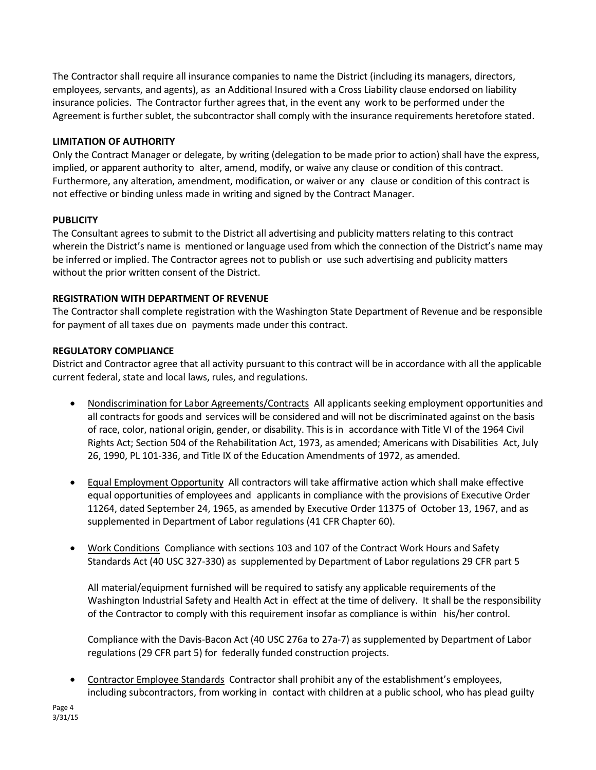The Contractor shall require all insurance companies to name the District (including its managers, directors, employees, servants, and agents), as an Additional Insured with a Cross Liability clause endorsed on liability insurance policies. The Contractor further agrees that, in the event any work to be performed under the Agreement is further sublet, the subcontractor shall comply with the insurance requirements heretofore stated.

## **LIMITATION OF AUTHORITY**

Only the Contract Manager or delegate, by writing (delegation to be made prior to action) shall have the express, implied, or apparent authority to alter, amend, modify, or waive any clause or condition of this contract. Furthermore, any alteration, amendment, modification, or waiver or any clause or condition of this contract is not effective or binding unless made in writing and signed by the Contract Manager.

# **PUBLICITY**

The Consultant agrees to submit to the District all advertising and publicity matters relating to this contract wherein the District's name is mentioned or language used from which the connection of the District's name may be inferred or implied. The Contractor agrees not to publish or use such advertising and publicity matters without the prior written consent of the District.

# **REGISTRATION WITH DEPARTMENT OF REVENUE**

The Contractor shall complete registration with the Washington State Department of Revenue and be responsible for payment of all taxes due on payments made under this contract.

# **REGULATORY COMPLIANCE**

District and Contractor agree that all activity pursuant to this contract will be in accordance with all the applicable current federal, state and local laws, rules, and regulations.

- Nondiscrimination for Labor Agreements/Contracts All applicants seeking employment opportunities and all contracts for goods and services will be considered and will not be discriminated against on the basis of race, color, national origin, gender, or disability. This is in accordance with Title VI of the 1964 Civil Rights Act; Section 504 of the Rehabilitation Act, 1973, as amended; Americans with Disabilities Act, July 26, 1990, PL 101-336, and Title IX of the Education Amendments of 1972, as amended.
- Equal Employment Opportunity All contractors will take affirmative action which shall make effective equal opportunities of employees and applicants in compliance with the provisions of Executive Order 11264, dated September 24, 1965, as amended by Executive Order 11375 of October 13, 1967, and as supplemented in Department of Labor regulations (41 CFR Chapter 60).
- Work Conditions Compliance with sections 103 and 107 of the Contract Work Hours and Safety Standards Act (40 USC 327-330) as supplemented by Department of Labor regulations 29 CFR part 5

All material/equipment furnished will be required to satisfy any applicable requirements of the Washington Industrial Safety and Health Act in effect at the time of delivery. It shall be the responsibility of the Contractor to comply with this requirement insofar as compliance is within his/her control.

Compliance with the Davis-Bacon Act (40 USC 276a to 27a-7) as supplemented by Department of Labor regulations (29 CFR part 5) for federally funded construction projects.

 Contractor Employee Standards Contractor shall prohibit any of the establishment's employees, including subcontractors, from working in contact with children at a public school, who has plead guilty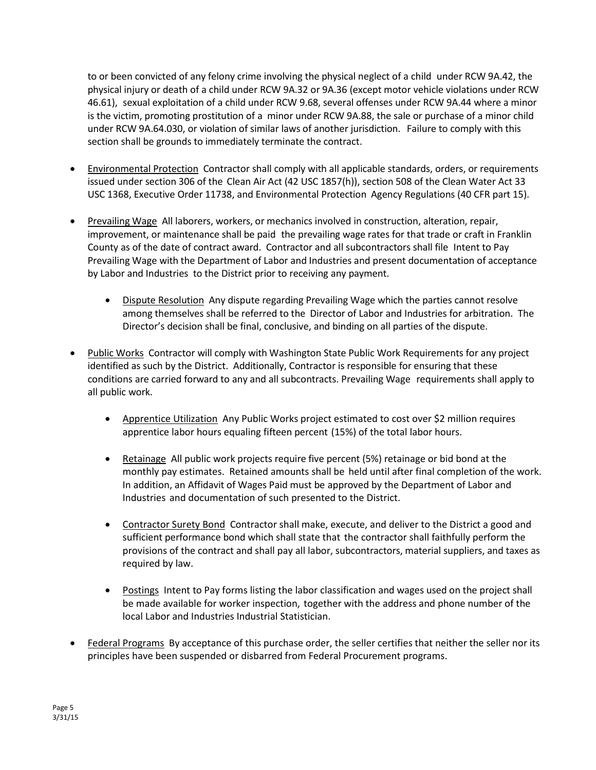to or been convicted of any felony crime involving the physical neglect of a child under RCW 9A.42, the physical injury or death of a child under RCW 9A.32 or 9A.36 (except motor vehicle violations under RCW 46.61), sexual exploitation of a child under RCW 9.68, several offenses under RCW 9A.44 where a minor is the victim, promoting prostitution of a minor under RCW 9A.88, the sale or purchase of a minor child under RCW 9A.64.030, or violation of similar laws of another jurisdiction. Failure to comply with this section shall be grounds to immediately terminate the contract.

- Environmental Protection Contractor shall comply with all applicable standards, orders, or requirements issued under section 306 of the Clean Air Act (42 USC 1857(h)), section 508 of the Clean Water Act 33 USC 1368, Executive Order 11738, and Environmental Protection Agency Regulations (40 CFR part 15).
- Prevailing Wage All laborers, workers, or mechanics involved in construction, alteration, repair, improvement, or maintenance shall be paid the prevailing wage rates for that trade or craft in Franklin County as of the date of contract award. Contractor and all subcontractors shall file Intent to Pay Prevailing Wage with the Department of Labor and Industries and present documentation of acceptance by Labor and Industries to the District prior to receiving any payment.
	- Dispute Resolution Any dispute regarding Prevailing Wage which the parties cannot resolve among themselves shall be referred to the Director of Labor and Industries for arbitration. The Director's decision shall be final, conclusive, and binding on all parties of the dispute.
- Public Works Contractor will comply with Washington State Public Work Requirements for any project identified as such by the District. Additionally, Contractor is responsible for ensuring that these conditions are carried forward to any and all subcontracts. Prevailing Wage requirements shall apply to all public work.
	- Apprentice Utilization Any Public Works project estimated to cost over \$2 million requires apprentice labor hours equaling fifteen percent (15%) of the total labor hours.
	- Retainage All public work projects require five percent (5%) retainage or bid bond at the monthly pay estimates. Retained amounts shall be held until after final completion of the work. In addition, an Affidavit of Wages Paid must be approved by the Department of Labor and Industries and documentation of such presented to the District.
	- Contractor Surety Bond Contractor shall make, execute, and deliver to the District a good and sufficient performance bond which shall state that the contractor shall faithfully perform the provisions of the contract and shall pay all labor, subcontractors, material suppliers, and taxes as required by law.
	- Postings Intent to Pay forms listing the labor classification and wages used on the project shall be made available for worker inspection, together with the address and phone number of the local Labor and Industries Industrial Statistician.
- Federal Programs By acceptance of this purchase order, the seller certifies that neither the seller nor its principles have been suspended or disbarred from Federal Procurement programs.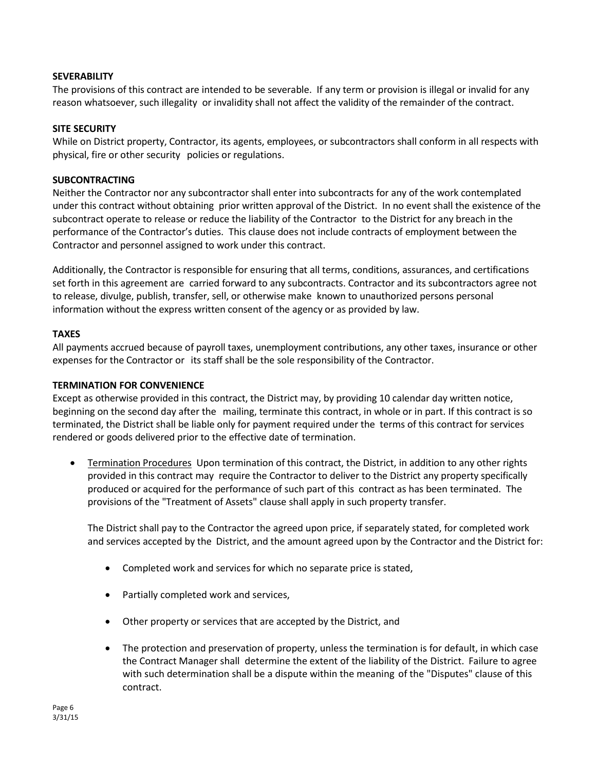#### **SEVERABILITY**

The provisions of this contract are intended to be severable. If any term or provision is illegal or invalid for any reason whatsoever, such illegality or invalidity shall not affect the validity of the remainder of the contract.

#### **SITE SECURITY**

While on District property, Contractor, its agents, employees, or subcontractors shall conform in all respects with physical, fire or other security policies or regulations.

#### **SUBCONTRACTING**

Neither the Contractor nor any subcontractor shall enter into subcontracts for any of the work contemplated under this contract without obtaining prior written approval of the District. In no event shall the existence of the subcontract operate to release or reduce the liability of the Contractor to the District for any breach in the performance of the Contractor's duties. This clause does not include contracts of employment between the Contractor and personnel assigned to work under this contract.

Additionally, the Contractor is responsible for ensuring that all terms, conditions, assurances, and certifications set forth in this agreement are carried forward to any subcontracts. Contractor and its subcontractors agree not to release, divulge, publish, transfer, sell, or otherwise make known to unauthorized persons personal information without the express written consent of the agency or as provided by law.

#### **TAXES**

All payments accrued because of payroll taxes, unemployment contributions, any other taxes, insurance or other expenses for the Contractor or its staff shall be the sole responsibility of the Contractor.

#### **TERMINATION FOR CONVENIENCE**

Except as otherwise provided in this contract, the District may, by providing 10 calendar day written notice, beginning on the second day after the mailing, terminate this contract, in whole or in part. If this contract is so terminated, the District shall be liable only for payment required under the terms of this contract for services rendered or goods delivered prior to the effective date of termination.

**•** Termination Procedures Upon termination of this contract, the District, in addition to any other rights provided in this contract may require the Contractor to deliver to the District any property specifically produced or acquired for the performance of such part of this contract as has been terminated. The provisions of the "Treatment of Assets" clause shall apply in such property transfer.

The District shall pay to the Contractor the agreed upon price, if separately stated, for completed work and services accepted by the District, and the amount agreed upon by the Contractor and the District for:

- Completed work and services for which no separate price is stated,
- Partially completed work and services,
- Other property or services that are accepted by the District, and
- The protection and preservation of property, unless the termination is for default, in which case the Contract Manager shall determine the extent of the liability of the District. Failure to agree with such determination shall be a dispute within the meaning of the "Disputes" clause of this contract.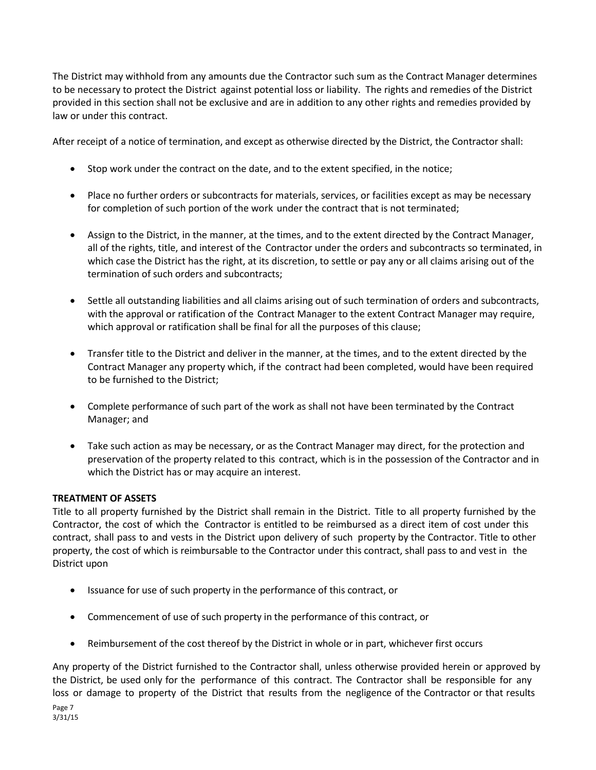The District may withhold from any amounts due the Contractor such sum as the Contract Manager determines to be necessary to protect the District against potential loss or liability. The rights and remedies of the District provided in this section shall not be exclusive and are in addition to any other rights and remedies provided by law or under this contract.

After receipt of a notice of termination, and except as otherwise directed by the District, the Contractor shall:

- Stop work under the contract on the date, and to the extent specified, in the notice;
- Place no further orders or subcontracts for materials, services, or facilities except as may be necessary for completion of such portion of the work under the contract that is not terminated;
- Assign to the District, in the manner, at the times, and to the extent directed by the Contract Manager, all of the rights, title, and interest of the Contractor under the orders and subcontracts so terminated, in which case the District has the right, at its discretion, to settle or pay any or all claims arising out of the termination of such orders and subcontracts;
- Settle all outstanding liabilities and all claims arising out of such termination of orders and subcontracts, with the approval or ratification of the Contract Manager to the extent Contract Manager may require, which approval or ratification shall be final for all the purposes of this clause;
- Transfer title to the District and deliver in the manner, at the times, and to the extent directed by the Contract Manager any property which, if the contract had been completed, would have been required to be furnished to the District;
- Complete performance of such part of the work as shall not have been terminated by the Contract Manager; and
- Take such action as may be necessary, or as the Contract Manager may direct, for the protection and preservation of the property related to this contract, which is in the possession of the Contractor and in which the District has or may acquire an interest.

## **TREATMENT OF ASSETS**

Title to all property furnished by the District shall remain in the District. Title to all property furnished by the Contractor, the cost of which the Contractor is entitled to be reimbursed as a direct item of cost under this contract, shall pass to and vests in the District upon delivery of such property by the Contractor. Title to other property, the cost of which is reimbursable to the Contractor under this contract, shall pass to and vest in the District upon

- Issuance for use of such property in the performance of this contract, or
- Commencement of use of such property in the performance of this contract, or
- Reimbursement of the cost thereof by the District in whole or in part, whichever first occurs

Page 7 3/31/15 Any property of the District furnished to the Contractor shall, unless otherwise provided herein or approved by the District, be used only for the performance of this contract. The Contractor shall be responsible for any loss or damage to property of the District that results from the negligence of the Contractor or that results